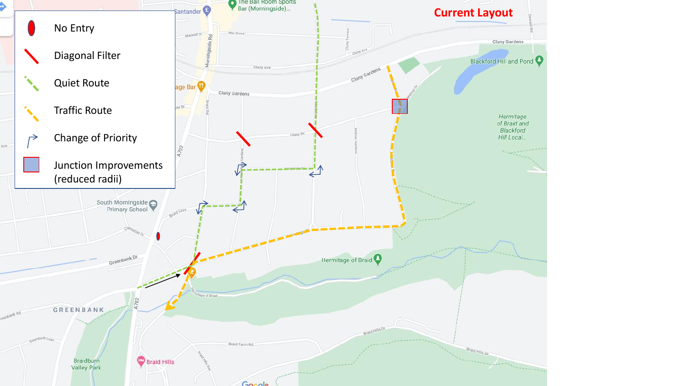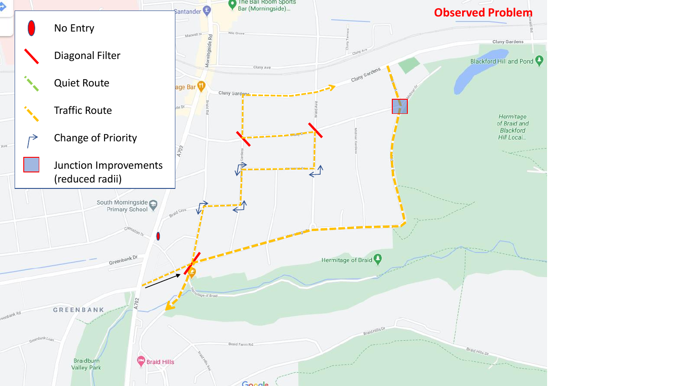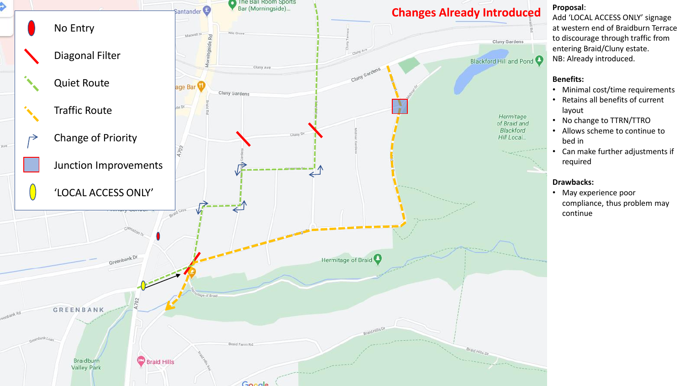